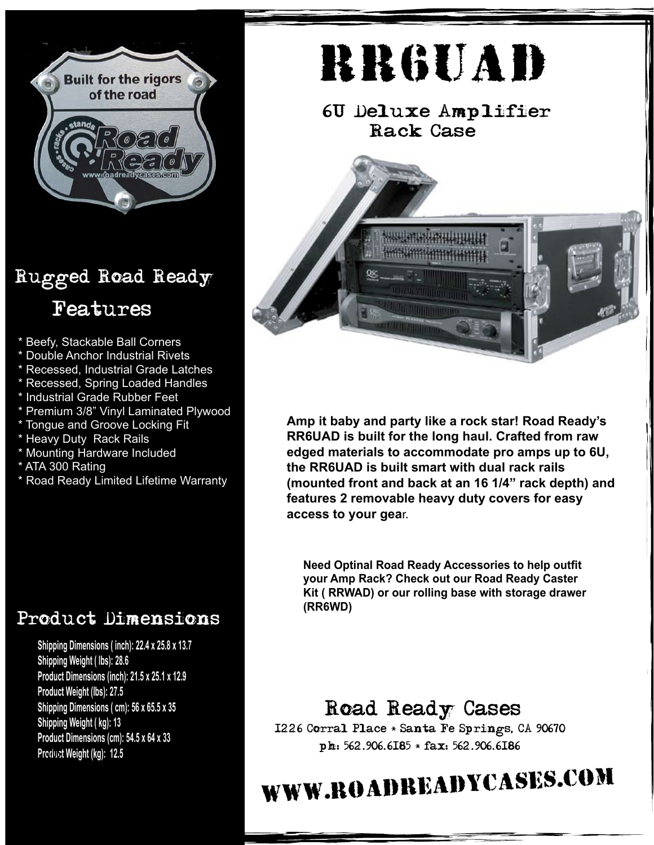

### Rugged Road Ready Features

- Beefy, Stackable Ball Corners
- **Double Anchor Industrial Rivets**
- \* Recessed, Industrial Grade Latches
- Recessed, Spring Loaded Handles
- \* Industrial Grade Rubber Feet
- \* Premium 3/8" Vinyl Laminated Plywood
- \* Tongue and Groove Locking Fit
- \* Heavy Duty Rack Rails
- \* Mounting Hardware Included
- \* ATA 300 Rating
- \* Road Ready Limited Lifetime Warranty

#### Product Dimensions

**Shipping Dimensions ( inch): 22.4 x 25.8 x 13.7 Shipping Weight ( lbs): 28.6 Product Dimensions (inch): 21.5 x 25.1 x 12.9 Product Weight (lbs): 27.5 Shipping Dimensions ( cm): 56 x 65.5 x 35 Shipping Weight ( kg): 13 Product Dimensions (cm): 54.5 x 64 x 33 Product Weight (kg): 12.5 7/06**

# RR6UAD

6U Deluxe Amplifier Rack Case



**Amp it baby and party like a rock star! Road Ready's RR6UAD is built for the long haul. Crafted from raw edged materials to accommodate pro amps up to 6U, the RR6UAD is built smart with dual rack rails (mounted front and back at an 16 1/4" rack depth) and features 2 removable heavy duty covers for easy access to your gea**r.

**Need Optinal Road Ready Accessories to help outfit your Amp Rack? Check out our Road Ready Caster Kit ( RRWAD) or our rolling base with storage drawer (RR6WD)**

#### Road Ready Cases

1226 Corral Place \* Santa Fe Springs, CA 90670 ph: 562.906.6185 \* fax: 562.906.6186

## www.roadreadycases.com